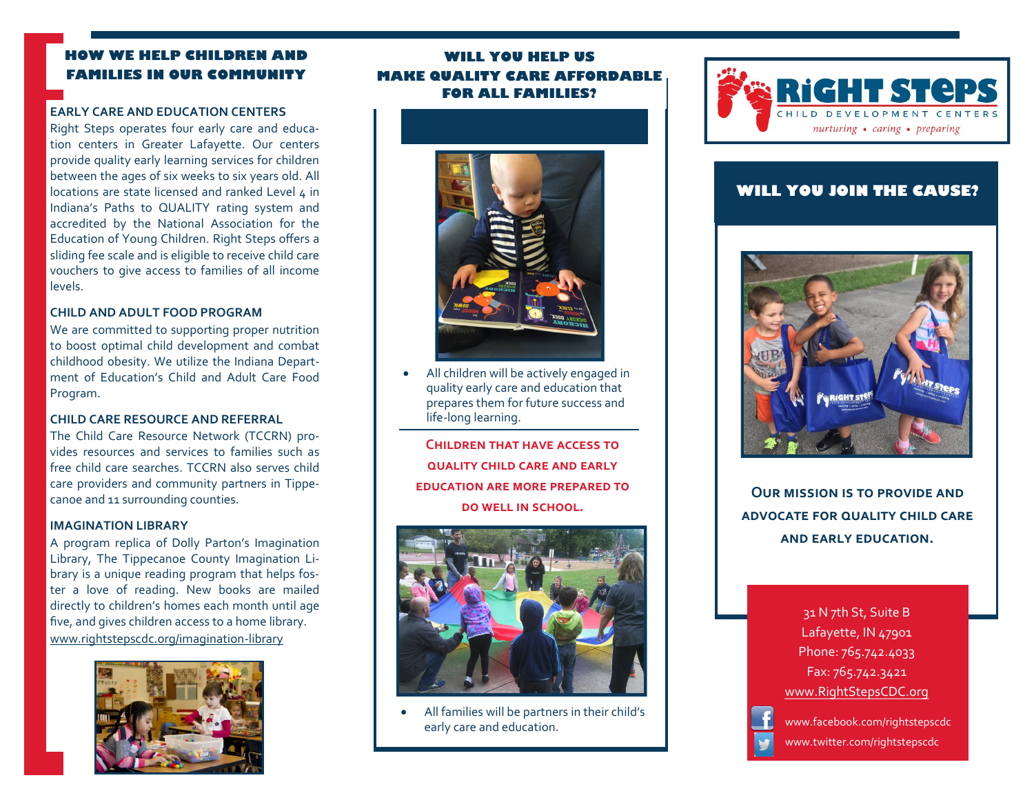# **HOW WE HELP CHILDREN AND FAMILIES IN OUR COMMUN**

### **EARLY CARE AND EDUCATION CENTERS**

Right Steps operates four early care and education centers in Greater Lafayette. Our centers provide quality early learning services for children between the ages of six weeks to six years old. All locations are state licensed and ranked Level 4 in Indiana's Paths to QUALITY rating system and accredited by the National Association for the Education of Young Children. Right Steps offers a sliding fee scale and is eligible to receive child care vouchers to give access to families of all income levels.

#### **CHILD AND ADULT FOOD PROGRAM**

We are committed to supporting proper nutrition to boost optimal child development and combat childhood obesity. We utilize the Indiana Department of Education's Child and Adult Care Food Program.

### **CHILD CARE RESOURCE AND REFERRAL**

The Child Care Resource Network (TCCRN) provides resources and services to families such as free child care searches. TCCRN also serves child care providers and community partners in Tippecanoe and 11 surrounding counties.

#### **IMAGINATION LIBRARY**

A program replica of Dolly Parton's Imagination Library, The Tippecanoe County Imagination Library is a unique reading program that helps foster a love of reading. New books are mailed directly to children's homes each month until age five, and gives children access to a home library. www.rightstepscdc.org/imagination-library



# **WILL YOU HELP US MAKE QUALITY CARE AFFORDABLE FOR ALL FAMILIES?**



 All children will be actively engaged in quality early care and education that prepares them for future success and life-long learning.

**Children that have access to quality child care and early education are more prepared to do well in school.**



 All families will be partners in their child's early care and education.



# **WILL YOU JOIN THE CAUSE?**



**Our mission is to provide and advocate for quality child care and early education.**

> 31 N 7th St, Suite B Lafayette, IN 47901 Phone: 765.742.4033 Fax: 765.742.3421 www.RightStepsCDC.org



www.facebook.com/rightstepscdc www.twitter.com/rightstepscdc